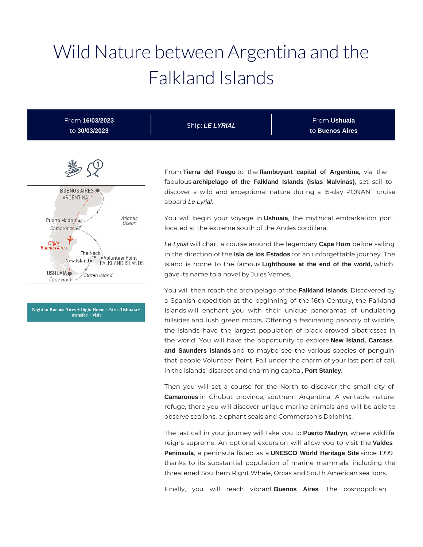# Wild Nature between Argentina and the Falkland Islands

From **16/03/2023** to **30/03/2023**

Ship: **LE LYRIAL**

From **Ushuaia** to **Buenos Aires**



**Night in Buenos Aires + flight Buenos Aires/Ushuaia + transfer + visit**

From **Tierra del Fuego** to the **flamboyant capital of Argentina**, via the fabulous **archipelago of the Falkland Islands (Islas Malvinas)**, set sail to discover a wild and exceptional nature during a 15-day PONANT cruise aboard Le Lyrial.

You will begin your voyage in **Ushuaia**, the mythical embarkation port located at the extreme south of the Andes cordillera.

Le Lyrial will chart a course around the legendary **Cape Horn** before sailing in the direction of the **Isla de los Estados** for an unforgettable journey. The island is home to the famous **Lighthouse at the end of the world,** which gave its name to a novel by Jules Vernes.

You will then reach the archipelago of the **Falkland Islands**. Discovered by a Spanish expedition at the beginning of the 16th Century, the Falkland Islands will enchant you with their unique panoramas of undulating hillsides and lush green moors. Offering a fascinating panoply of wildlife, the islands have the largest population of black-browed albatrosses in the world. You will have the opportunity to explore **New Island, Carcass and Saunders islands** and to maybe see the various species of penguin that people Volunteer Point. Fall under the charm of your last port of call, in the islands' discreet and charming capital, **Port Stanley.**

Then you will set a course for the North to discover the small city of **Camarones** in Chubut province, southern Argentina. A veritable nature refuge, there you will discover unique marine animals and will be able to observe sealions, elephant seals and Commerson's Dolphins.

The last call in your journey will take you to **Puerto Madryn**, where wildlife reigns supreme. An optional excursion will allow you to visit the **Valdes Peninsula**, a peninsula listed as a **UNESCO World Heritage Site** since 1999 thanks to its substantial population of marine mammals, including the threatened Southern Right Whale, Orcas and South American sea lions.

Finally, you will reach vibrant **Buenos Aires**. The cosmopolitan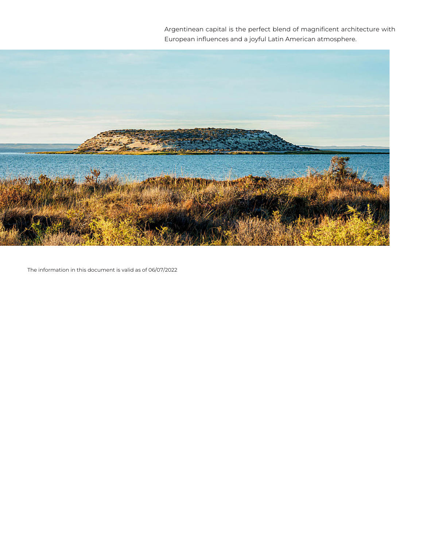Argentinean capital is the perfect blend of magnificent architecture with European influences and a joyful Latin American atmosphere.



The information in this document is valid as of 06/07/2022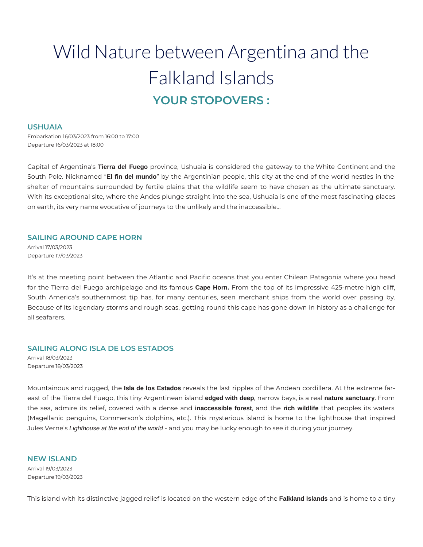# Wild Nature between Argentina and the Falkland Islands **YOUR STOPOVERS :**

#### **USHUAIA**

Embarkation 16/03/2023 from 16:00 to 17:00 Departure 16/03/2023 at 18:00

Capital of Argentina's **Tierra del Fuego** province, Ushuaia is considered the gateway to the White Continent and the South Pole. Nicknamed "**El fin del mundo**" by the Argentinian people, this city at the end of the world nestles in the shelter of mountains surrounded by fertile plains that the wildlife seem to have chosen as the ultimate sanctuary. With its exceptional site, where the Andes plunge straight into the sea, Ushuaia is one of the most fascinating places on earth, its very name evocative of journeys to the unlikely and the inaccessible…

# **SAILING AROUND CAPE HORN**

Arrival 17/03/2023 Departure 17/03/2023

It's at the meeting point between the Atlantic and Pacific oceans that you enter Chilean Patagonia where you head for the Tierra del Fuego archipelago and its famous **Cape Horn.** From the top of its impressive 425-metre high cliff, South America's southernmost tip has, for many centuries, seen merchant ships from the world over passing by. Because of its legendary storms and rough seas, getting round this cape has gone down in history as a challenge for all seafarers.

# **SAILING ALONG ISLA DE LOS ESTADOS**

Arrival 18/03/2023 Departure 18/03/2023

Mountainous and rugged, the **Isla de los Estados** reveals the last ripples of the Andean cordillera. At the extreme fareast of the Tierra del Fuego, this tiny Argentinean island **edged with deep**, narrow bays, is a real **nature sanctuary**. From the sea, admire its relief, covered with a dense and **inaccessible forest**, and the **rich wildlife** that peoples its waters (Magellanic penguins, Commerson's dolphins, etc.). This mysterious island is home to the lighthouse that inspired Jules Verne's Lighthouse at the end of the world - and you may be lucky enough to see it during your journey.

**NEW ISLAND**  Arrival 19/03/2023 Departure 19/03/2023

This island with its distinctive jagged relief is located on the western edge of the **Falkland Islands** and is home to a tiny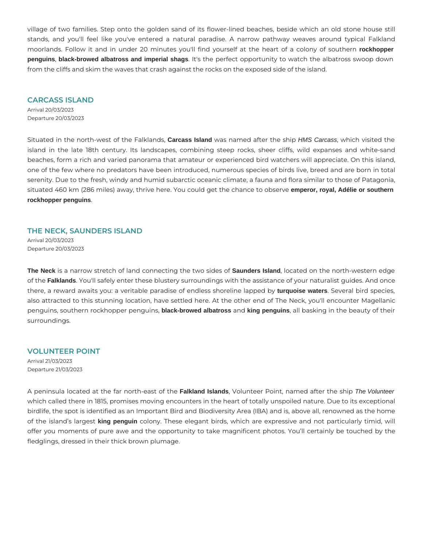village of two families. Step onto the golden sand of its flower-lined beaches, beside which an old stone house still stands, and you'll feel like you've entered a natural paradise. A narrow pathway weaves around typical Falkland moorlands. Follow it and in under 20 minutes you'll find yourself at the heart of a colony of southern **rockhopper penguins**, **black-browed albatross and imperial shags**. It's the perfect opportunity to watch the albatross swoop down from the cliffs and skim the waves that crash against the rocks on the exposed side of the island.

#### **CARCASS ISLAND**

Arrival 20/03/2023 Departure 20/03/2023

Situated in the north-west of the Falklands, **Carcass Island** was named after the ship HMS Carcass, which visited the island in the late 18th century. Its landscapes, combining steep rocks, sheer cliffs, wild expanses and white-sand beaches, form a rich and varied panorama that amateur or experienced bird watchers will appreciate. On this island, one of the few where no predators have been introduced, numerous species of birds live, breed and are born in total serenity. Due to the fresh, windy and humid subarctic oceanic climate, a fauna and flora similar to those of Patagonia, situated 460 km (286 miles) away, thrive here. You could get the chance to observe **emperor, royal, Adélie or southern rockhopper penguins**.

#### **THE NECK, SAUNDERS ISLAND**

Arrival 20/03/2023 Departure 20/03/2023

**The Neck** is a narrow stretch of land connecting the two sides of **Saunders Island**, located on the north-western edge of the **Falklands**. You'll safely enter these blustery surroundings with the assistance of your naturalist guides. And once there, a reward awaits you: a veritable paradise of endless shoreline lapped by **turquoise waters**. Several bird species, also attracted to this stunning location, have settled here. At the other end of The Neck, you'll encounter Magellanic penguins, southern rockhopper penguins, **black-browed albatross** and **king penguins**, all basking in the beauty of their surroundings.

**VOLUNTEER POINT**  Arrival 21/03/2023 Departure 21/03/2023

A peninsula located at the far north-east of the **Falkland Islands**, Volunteer Point, named after the ship The Volunteer which called there in 1815, promises moving encounters in the heart of totally unspoiled nature. Due to its exceptional birdlife, the spot is identified as an Important Bird and Biodiversity Area (IBA) and is, above all, renowned as the home of the island's largest **king penguin** colony. These elegant birds, which are expressive and not particularly timid, will offer you moments of pure awe and the opportunity to take magnificent photos. You'll certainly be touched by the fledglings, dressed in their thick brown plumage.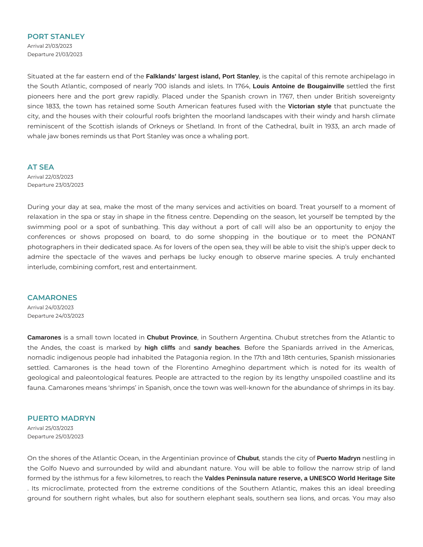#### **PORT STANLEY**

Arrival 21/03/2023 Departure 21/03/2023

Situated at the far eastern end of the **Falklands' largest island, Port Stanley**, is the capital of this remote archipelago in the South Atlantic, composed of nearly 700 islands and islets. In 1764, **Louis Antoine de Bougainville** settled the first pioneers here and the port grew rapidly. Placed under the Spanish crown in 1767, then under British sovereignty since 1833, the town has retained some South American features fused with the **Victorian style** that punctuate the city, and the houses with their colourful roofs brighten the moorland landscapes with their windy and harsh climate reminiscent of the Scottish islands of Orkneys or Shetland. In front of the Cathedral, built in 1933, an arch made of whale jaw bones reminds us that Port Stanley was once a whaling port.

**AT SEA** 

Arrival 22/03/2023 Departure 23/03/2023

During your day at sea, make the most of the many services and activities on board. Treat yourself to a moment of relaxation in the spa or stay in shape in the fitness centre. Depending on the season, let yourself be tempted by the swimming pool or a spot of sunbathing. This day without a port of call will also be an opportunity to enjoy the conferences or shows proposed on board, to do some shopping in the boutique or to meet the PONANT photographers in their dedicated space. As for lovers of the open sea, they will be able to visit the ship's upper deck to admire the spectacle of the waves and perhaps be lucky enough to observe marine species. A truly enchanted interlude, combining comfort, rest and entertainment.

#### **CAMARONES**

Arrival 24/03/2023 Departure 24/03/2023

**Camarones** is a small town located in **Chubut Province**, in Southern Argentina. Chubut stretches from the Atlantic to the Andes, the coast is marked by **high cliffs** and **sandy beaches**. Before the Spaniards arrived in the Americas, nomadic indigenous people had inhabited the Patagonia region. In the 17th and 18th centuries, Spanish missionaries settled. Camarones is the head town of the Florentino Ameghino department which is noted for its wealth of geological and paleontological features. People are attracted to the region by its lengthy unspoiled coastline and its fauna. Camarones means 'shrimps' in Spanish, once the town was well-known for the abundance of shrimps in its bay.

### **PUERTO MADRYN**

Arrival 25/03/2023 Departure 25/03/2023

On the shores of the Atlantic Ocean, in the Argentinian province of **Chubut**, stands the city of **Puerto Madryn** nestling in the Golfo Nuevo and surrounded by wild and abundant nature. You will be able to follow the narrow strip of land formed by the isthmus for a few kilometres, to reach the **Valdes Peninsula nature reserve, a UNESCO World Heritage Site** . Its microclimate, protected from the extreme conditions of the Southern Atlantic, makes this an ideal breeding ground for southern right whales, but also for southern elephant seals, southern sea lions, and orcas. You may also